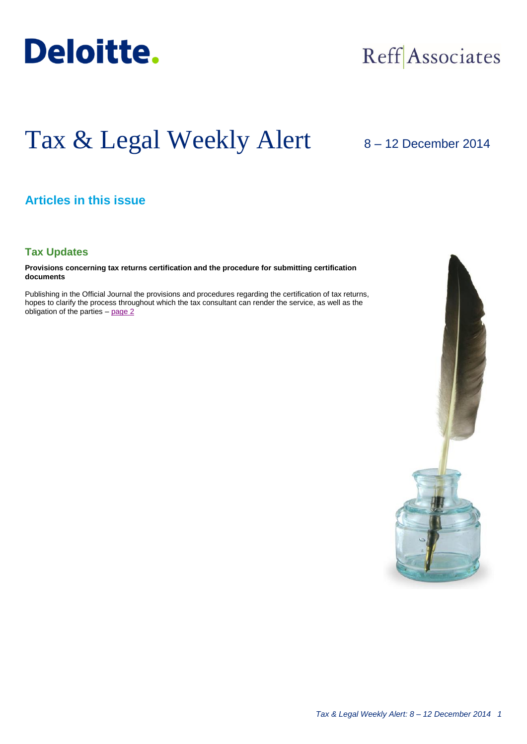

## Reff Associates

# Tax & Legal Weekly Alert

## 8 – 12 December 2014

## **Articles in this issue**

## **Tax Updates**

**Provisions concerning tax returns certification and the procedure for submitting certification documents**

Publishing in the Official Journal the provisions and procedures regarding the certification of tax returns, hopes to clarify the process throughout which the tax consultant can render the service, as well as the obligation of the parties – [page](#page-1-0) 2

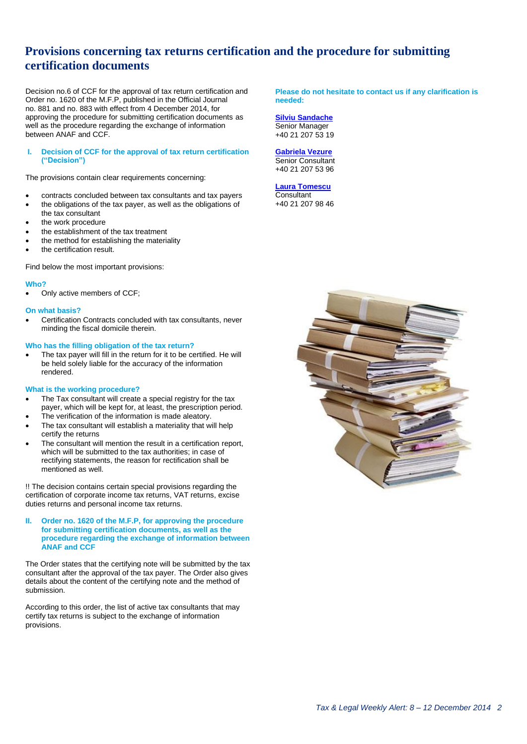## <span id="page-1-0"></span>**Provisions concerning tax returns certification and the procedure for submitting certification documents**

Decision no.6 of CCF for the approval of tax return certification and Order no. 1620 of the M.F.P, published in the Official Journal no. 881 and no. 883 with effect from 4 December 2014, for approving the procedure for submitting certification documents as well as the procedure regarding the exchange of information between ANAF and CCF.

#### **I. Decision of CCF for the approval of tax return certification ("Decision")**

The provisions contain clear requirements concerning:

- contracts concluded between tax consultants and tax payers
- the obligations of the tax payer, as well as the obligations of the tax consultant
- the work procedure
- the establishment of the tax treatment
- the method for establishing the materiality
- the certification result.

Find below the most important provisions:

#### **Who?**

Only active members of CCF;

#### **On what basis?**

 Certification Contracts concluded with tax consultants, never minding the fiscal domicile therein.

#### **Who has the filling obligation of the tax return?**

 The tax payer will fill in the return for it to be certified. He will be held solely liable for the accuracy of the information rendered.

#### **What is the working procedure?**

- The Tax consultant will create a special registry for the tax payer, which will be kept for, at least, the prescription period.
- The verification of the information is made aleatory.
- The tax consultant will establish a materiality that will help certify the returns
- The consultant will mention the result in a certification report, which will be submitted to the tax authorities; in case of rectifying statements, the reason for rectification shall be mentioned as well.

!! The decision contains certain special provisions regarding the certification of corporate income tax returns, VAT returns, excise duties returns and personal income tax returns.

#### **II. Order no. 1620 of the M.F.P, for approving the procedure for submitting certification documents, as well as the procedure regarding the exchange of information between ANAF and CCF**

The Order states that the certifying note will be submitted by the tax consultant after the approval of the tax payer. The Order also gives details about the content of the certifying note and the method of submission.

According to this order, the list of active tax consultants that may certify tax returns is subject to the exchange of information provisions.

**Please do not hesitate to contact us if any clarification is needed:**

**[Silviu Sandache](mailto:ssandache@deloittece.com)** Senior Manager +40 21 207 53 19

#### **[Gabriela Vezure](mailto:evezure@deloittece.com)** Senior Consultant +40 21 207 53 96

## **[Laura Tomescu](mailto:ltomescu@deloittece.com)**

**Consultant** +40 21 207 98 46